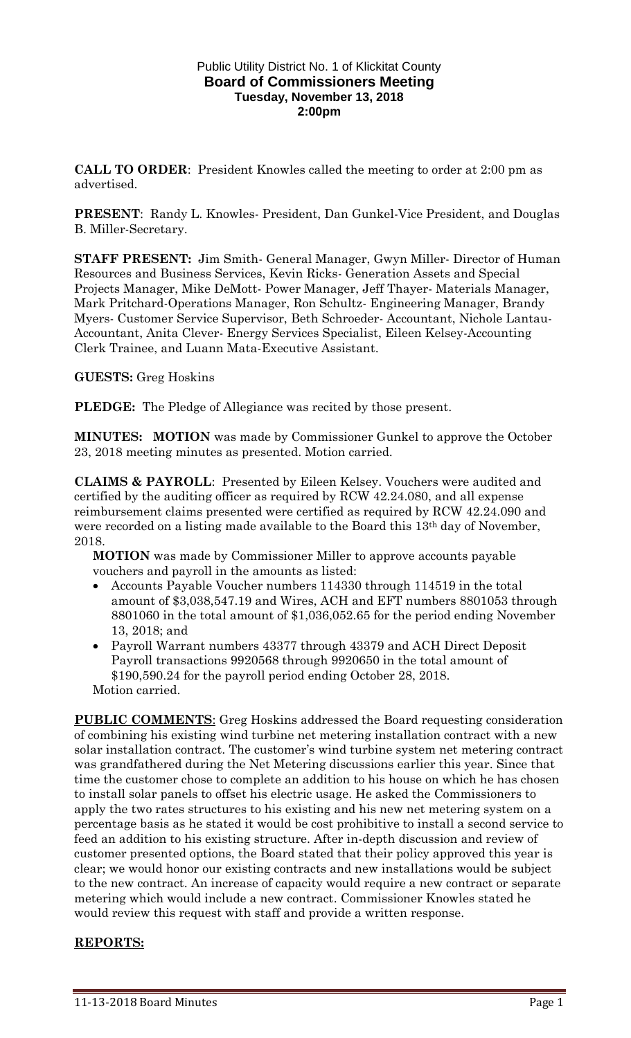#### Public Utility District No. 1 of Klickitat County **Board of Commissioners Meeting Tuesday, November 13, 2018 2:00pm**

**CALL TO ORDER**: President Knowles called the meeting to order at 2:00 pm as advertised.

**PRESENT**: Randy L. Knowles- President, Dan Gunkel-Vice President, and Douglas B. Miller-Secretary.

**STAFF PRESENT:** Jim Smith- General Manager, Gwyn Miller- Director of Human Resources and Business Services, Kevin Ricks- Generation Assets and Special Projects Manager, Mike DeMott- Power Manager, Jeff Thayer- Materials Manager, Mark Pritchard-Operations Manager, Ron Schultz- Engineering Manager, Brandy Myers- Customer Service Supervisor, Beth Schroeder- Accountant, Nichole Lantau-Accountant, Anita Clever- Energy Services Specialist, Eileen Kelsey-Accounting Clerk Trainee, and Luann Mata-Executive Assistant.

### **GUESTS:** Greg Hoskins

**PLEDGE:** The Pledge of Allegiance was recited by those present.

**MINUTES: MOTION** was made by Commissioner Gunkel to approve the October 23, 2018 meeting minutes as presented. Motion carried.

**CLAIMS & PAYROLL**: Presented by Eileen Kelsey. Vouchers were audited and certified by the auditing officer as required by RCW 42.24.080, and all expense reimbursement claims presented were certified as required by RCW 42.24.090 and were recorded on a listing made available to the Board this 13<sup>th</sup> day of November, 2018.

**MOTION** was made by Commissioner Miller to approve accounts payable vouchers and payroll in the amounts as listed:

- Accounts Payable Voucher numbers 114330 through 114519 in the total amount of \$3,038,547.19 and Wires, ACH and EFT numbers 8801053 through 8801060 in the total amount of \$1,036,052.65 for the period ending November 13, 2018; and
- Payroll Warrant numbers 43377 through 43379 and ACH Direct Deposit Payroll transactions 9920568 through 9920650 in the total amount of \$190,590.24 for the payroll period ending October 28, 2018.

Motion carried. **PUBLIC COMMENTS:** Greg Hoskins addressed the Board requesting consideration of combining his existing wind turbine net metering installation contract with a new solar installation contract. The customer's wind turbine system net metering contract was grandfathered during the Net Metering discussions earlier this year. Since that time the customer chose to complete an addition to his house on which he has chosen to install solar panels to offset his electric usage. He asked the Commissioners to apply the two rates structures to his existing and his new net metering system on a percentage basis as he stated it would be cost prohibitive to install a second service to feed an addition to his existing structure. After in-depth discussion and review of customer presented options, the Board stated that their policy approved this year is clear; we would honor our existing contracts and new installations would be subject to the new contract. An increase of capacity would require a new contract or separate metering which would include a new contract. Commissioner Knowles stated he would review this request with staff and provide a written response.

# **REPORTS:**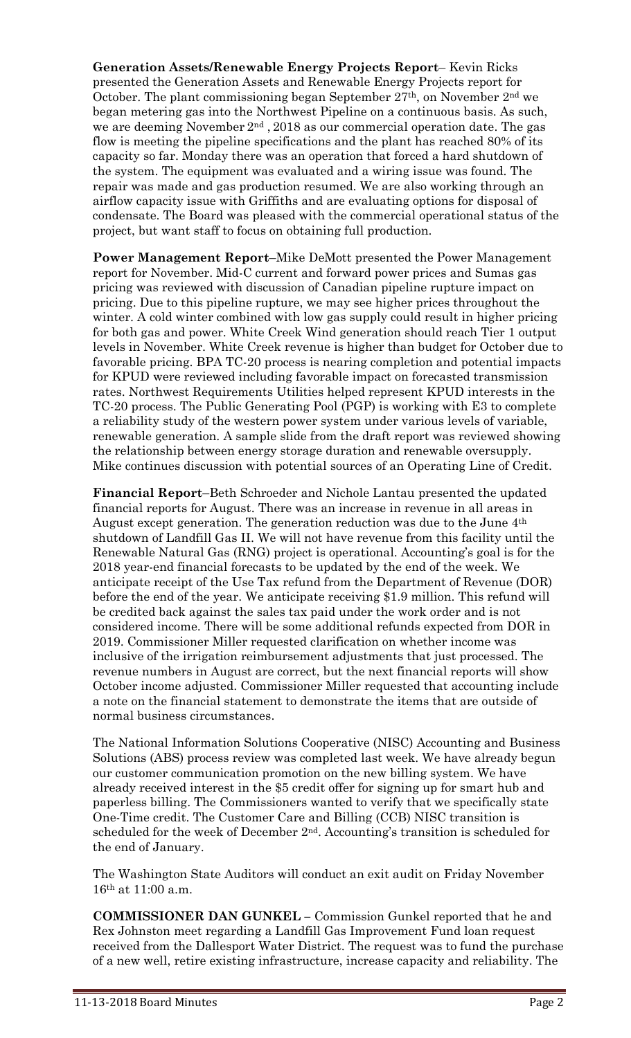**Generation Assets/Renewable Energy Projects Report**– Kevin Ricks presented the Generation Assets and Renewable Energy Projects report for October. The plant commissioning began September 27th, on November 2nd we began metering gas into the Northwest Pipeline on a continuous basis. As such, we are deeming November  $2<sup>nd</sup>$ , 2018 as our commercial operation date. The gas flow is meeting the pipeline specifications and the plant has reached 80% of its capacity so far. Monday there was an operation that forced a hard shutdown of the system. The equipment was evaluated and a wiring issue was found. The repair was made and gas production resumed. We are also working through an airflow capacity issue with Griffiths and are evaluating options for disposal of condensate. The Board was pleased with the commercial operational status of the project, but want staff to focus on obtaining full production.

**Power Management Report**–Mike DeMott presented the Power Management report for November. Mid-C current and forward power prices and Sumas gas pricing was reviewed with discussion of Canadian pipeline rupture impact on pricing. Due to this pipeline rupture, we may see higher prices throughout the winter. A cold winter combined with low gas supply could result in higher pricing for both gas and power. White Creek Wind generation should reach Tier 1 output levels in November. White Creek revenue is higher than budget for October due to favorable pricing. BPA TC-20 process is nearing completion and potential impacts for KPUD were reviewed including favorable impact on forecasted transmission rates. Northwest Requirements Utilities helped represent KPUD interests in the TC-20 process. The Public Generating Pool (PGP) is working with E3 to complete a reliability study of the western power system under various levels of variable, renewable generation. A sample slide from the draft report was reviewed showing the relationship between energy storage duration and renewable oversupply. Mike continues discussion with potential sources of an Operating Line of Credit.

**Financial Report**–Beth Schroeder and Nichole Lantau presented the updated financial reports for August. There was an increase in revenue in all areas in August except generation. The generation reduction was due to the June 4th shutdown of Landfill Gas II. We will not have revenue from this facility until the Renewable Natural Gas (RNG) project is operational. Accounting's goal is for the 2018 year-end financial forecasts to be updated by the end of the week. We anticipate receipt of the Use Tax refund from the Department of Revenue (DOR) before the end of the year. We anticipate receiving \$1.9 million. This refund will be credited back against the sales tax paid under the work order and is not considered income. There will be some additional refunds expected from DOR in 2019. Commissioner Miller requested clarification on whether income was inclusive of the irrigation reimbursement adjustments that just processed. The revenue numbers in August are correct, but the next financial reports will show October income adjusted. Commissioner Miller requested that accounting include a note on the financial statement to demonstrate the items that are outside of normal business circumstances.

The National Information Solutions Cooperative (NISC) Accounting and Business Solutions (ABS) process review was completed last week. We have already begun our customer communication promotion on the new billing system. We have already received interest in the \$5 credit offer for signing up for smart hub and paperless billing. The Commissioners wanted to verify that we specifically state One-Time credit. The Customer Care and Billing (CCB) NISC transition is scheduled for the week of December 2nd. Accounting's transition is scheduled for the end of January.

The Washington State Auditors will conduct an exit audit on Friday November 16th at 11:00 a.m.

**COMMISSIONER DAN GUNKEL –** Commission Gunkel reported that he and Rex Johnston meet regarding a Landfill Gas Improvement Fund loan request received from the Dallesport Water District. The request was to fund the purchase of a new well, retire existing infrastructure, increase capacity and reliability. The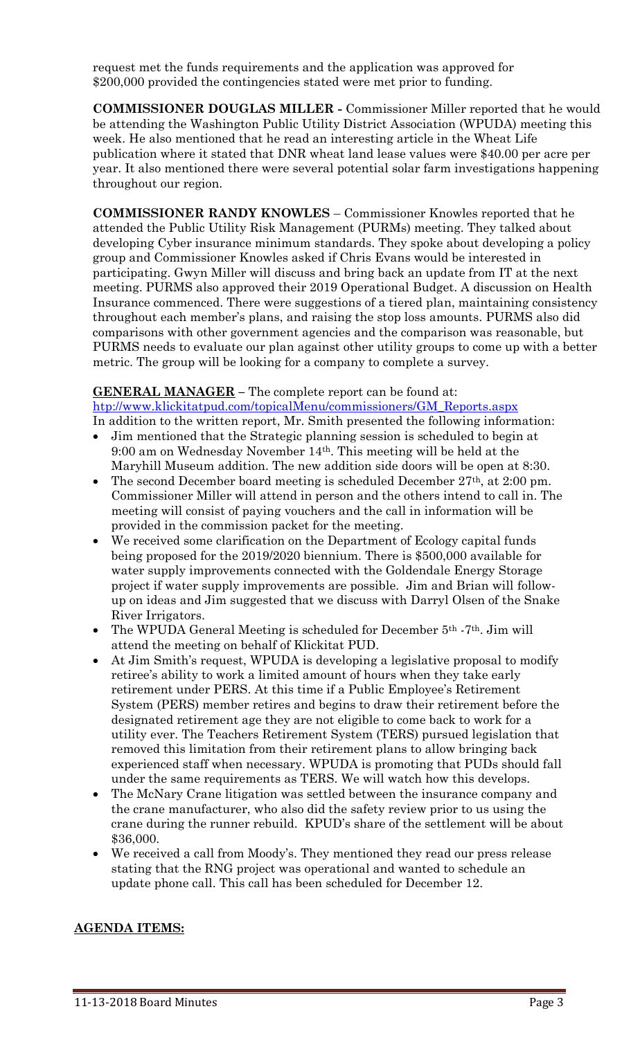request met the funds requirements and the application was approved for \$200,000 provided the contingencies stated were met prior to funding.

**COMMISSIONER DOUGLAS MILLER -** Commissioner Miller reported that he would be attending the Washington Public Utility District Association (WPUDA) meeting this week. He also mentioned that he read an interesting article in the Wheat Life publication where it stated that DNR wheat land lease values were \$40.00 per acre per year. It also mentioned there were several potential solar farm investigations happening throughout our region.

**COMMISSIONER RANDY KNOWLES** – Commissioner Knowles reported that he attended the Public Utility Risk Management (PURMs) meeting. They talked about developing Cyber insurance minimum standards. They spoke about developing a policy group and Commissioner Knowles asked if Chris Evans would be interested in participating. Gwyn Miller will discuss and bring back an update from IT at the next meeting. PURMS also approved their 2019 Operational Budget. A discussion on Health Insurance commenced. There were suggestions of a tiered plan, maintaining consistency throughout each member's plans, and raising the stop loss amounts. PURMS also did comparisons with other government agencies and the comparison was reasonable, but PURMS needs to evaluate our plan against other utility groups to come up with a better metric. The group will be looking for a company to complete a survey.

#### **GENERAL MANAGER –** The complete report can be found at:

[htp://www.klickitatpud.com/topicalMenu/commissioners/GM\\_Reports.aspx](http://www.klickitatpud.com/topicalMenu/commissioners/GM_Reports.aspx) In addition to the written report, Mr. Smith presented the following information:

- Jim mentioned that the Strategic planning session is scheduled to begin at 9:00 am on Wednesday November 14th. This meeting will be held at the Maryhill Museum addition. The new addition side doors will be open at 8:30.
- The second December board meeting is scheduled December 27th, at 2:00 pm. Commissioner Miller will attend in person and the others intend to call in. The meeting will consist of paying vouchers and the call in information will be provided in the commission packet for the meeting.
- We received some clarification on the Department of Ecology capital funds being proposed for the 2019/2020 biennium. There is \$500,000 available for water supply improvements connected with the Goldendale Energy Storage project if water supply improvements are possible. Jim and Brian will followup on ideas and Jim suggested that we discuss with Darryl Olsen of the Snake River Irrigators.
- The WPUDA General Meeting is scheduled for December  $5<sup>th</sup>$  -7<sup>th</sup>. Jim will attend the meeting on behalf of Klickitat PUD.
- At Jim Smith's request, WPUDA is developing a legislative proposal to modify retiree's ability to work a limited amount of hours when they take early retirement under PERS. At this time if a Public Employee's Retirement System (PERS) member retires and begins to draw their retirement before the designated retirement age they are not eligible to come back to work for a utility ever. The Teachers Retirement System (TERS) pursued legislation that removed this limitation from their retirement plans to allow bringing back experienced staff when necessary. WPUDA is promoting that PUDs should fall under the same requirements as TERS. We will watch how this develops.
- The McNary Crane litigation was settled between the insurance company and the crane manufacturer, who also did the safety review prior to us using the crane during the runner rebuild. KPUD's share of the settlement will be about \$36,000.
- We received a call from Moody's. They mentioned they read our press release stating that the RNG project was operational and wanted to schedule an update phone call. This call has been scheduled for December 12.

# **AGENDA ITEMS:**